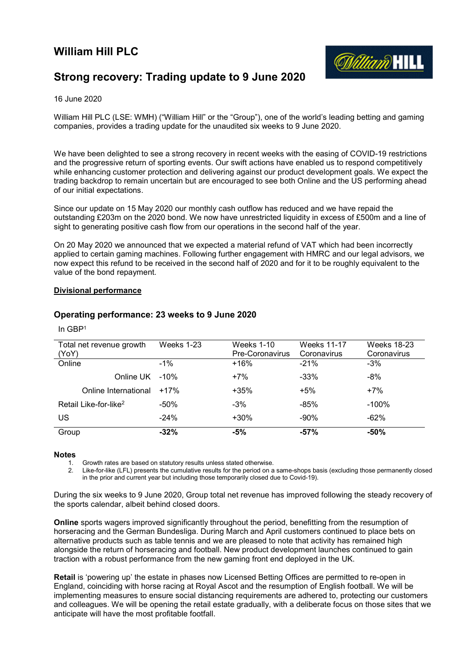# William Hill PLC



# Strong recovery: Trading update to 9 June 2020

## 16 June 2020

William Hill PLC (LSE: WMH) ("William Hill" or the "Group"), one of the world's leading betting and gaming companies, provides a trading update for the unaudited six weeks to 9 June 2020.

We have been delighted to see a strong recovery in recent weeks with the easing of COVID-19 restrictions and the progressive return of sporting events. Our swift actions have enabled us to respond competitively while enhancing customer protection and delivering against our product development goals. We expect the trading backdrop to remain uncertain but are encouraged to see both Online and the US performing ahead of our initial expectations.

Since our update on 15 May 2020 our monthly cash outflow has reduced and we have repaid the outstanding £203m on the 2020 bond. We now have unrestricted liquidity in excess of £500m and a line of sight to generating positive cash flow from our operations in the second half of the year.

On 20 May 2020 we announced that we expected a material refund of VAT which had been incorrectly applied to certain gaming machines. Following further engagement with HMRC and our legal advisors, we now expect this refund to be received in the second half of 2020 and for it to be roughly equivalent to the value of the bond repayment.

## Divisional performance

# Operating performance: 23 weeks to 9 June 2020

| Total net revenue growth<br>(YoY) | Weeks 1-23 | <b>Weeks 1-10</b><br><b>Pre-Coronavirus</b> | <b>Weeks 11-17</b><br>Coronavirus | <b>Weeks 18-23</b><br>Coronavirus |
|-----------------------------------|------------|---------------------------------------------|-----------------------------------|-----------------------------------|
| Online                            | $-1\%$     | +16%                                        | $-21%$                            | $-3%$                             |
| Online UK                         | -10%       | $+7%$                                       | $-33%$                            | $-8%$                             |
| Online International              | $+17%$     | $+35%$                                      | $+5%$                             | $+7%$                             |
| Retail Like-for-like <sup>2</sup> | $-50%$     | $-3%$                                       | $-85%$                            | $-100%$                           |
| US                                | $-24%$     | $+30%$                                      | $-90%$                            | $-62%$                            |
| Group                             | $-32%$     | $-5%$                                       | $-57%$                            | $-50%$                            |

## In GBP<sup>1</sup>

#### **Notes**

1. Growth rates are based on statutory results unless stated otherwise.

2. Like-for-like (LFL) presents the cumulative results for the period on a same-shops basis (excluding those permanently closed in the prior and current year but including those temporarily closed due to Covid-19).

During the six weeks to 9 June 2020, Group total net revenue has improved following the steady recovery of the sports calendar, albeit behind closed doors.

Online sports wagers improved significantly throughout the period, benefitting from the resumption of horseracing and the German Bundesliga. During March and April customers continued to place bets on alternative products such as table tennis and we are pleased to note that activity has remained high alongside the return of horseracing and football. New product development launches continued to gain traction with a robust performance from the new gaming front end deployed in the UK.

Retail is 'powering up' the estate in phases now Licensed Betting Offices are permitted to re-open in England, coinciding with horse racing at Royal Ascot and the resumption of English football. We will be implementing measures to ensure social distancing requirements are adhered to, protecting our customers and colleagues. We will be opening the retail estate gradually, with a deliberate focus on those sites that we anticipate will have the most profitable footfall.